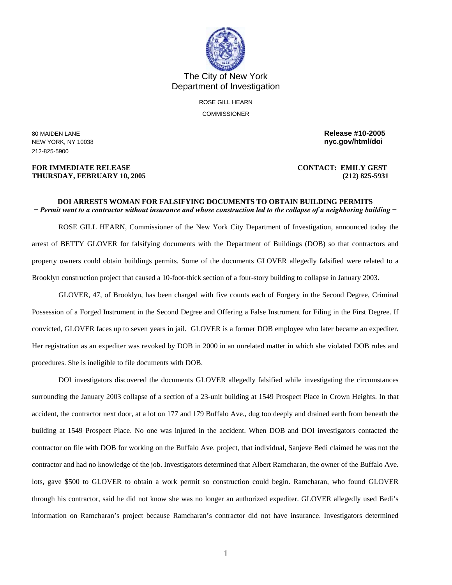

The City of New York Department of Investigation

> ROSE GILL HEARN **COMMISSIONER**

212-825-5900

## **FOR IMMEDIATE RELEASE CONTACT: EMILY GEST THURSDAY, FEBRUARY 10, 2005 (212) 825-5931**

80 MAIDEN LANE **Release #10-2005**  NEW YORK, NY 10038 **nyc.gov/html/doi** 

## **DOI ARRESTS WOMAN FOR FALSIFYING DOCUMENTS TO OBTAIN BUILDING PERMITS**  *− Permit went to a contractor without insurance and whose construction led to the collapse of a neighboring building −*

ROSE GILL HEARN, Commissioner of the New York City Department of Investigation, announced today the arrest of BETTY GLOVER for falsifying documents with the Department of Buildings (DOB) so that contractors and property owners could obtain buildings permits. Some of the documents GLOVER allegedly falsified were related to a Brooklyn construction project that caused a 10-foot-thick section of a four-story building to collapse in January 2003.

GLOVER, 47, of Brooklyn, has been charged with five counts each of Forgery in the Second Degree, Criminal Possession of a Forged Instrument in the Second Degree and Offering a False Instrument for Filing in the First Degree. If convicted, GLOVER faces up to seven years in jail. GLOVER is a former DOB employee who later became an expediter. Her registration as an expediter was revoked by DOB in 2000 in an unrelated matter in which she violated DOB rules and procedures. She is ineligible to file documents with DOB.

DOI investigators discovered the documents GLOVER allegedly falsified while investigating the circumstances surrounding the January 2003 collapse of a section of a 23-unit building at 1549 Prospect Place in Crown Heights. In that accident, the contractor next door, at a lot on 177 and 179 Buffalo Ave., dug too deeply and drained earth from beneath the building at 1549 Prospect Place. No one was injured in the accident. When DOB and DOI investigators contacted the contractor on file with DOB for working on the Buffalo Ave. project, that individual, Sanjeve Bedi claimed he was not the contractor and had no knowledge of the job. Investigators determined that Albert Ramcharan, the owner of the Buffalo Ave. lots, gave \$500 to GLOVER to obtain a work permit so construction could begin. Ramcharan, who found GLOVER through his contractor, said he did not know she was no longer an authorized expediter. GLOVER allegedly used Bedi's information on Ramcharan's project because Ramcharan's contractor did not have insurance. Investigators determined